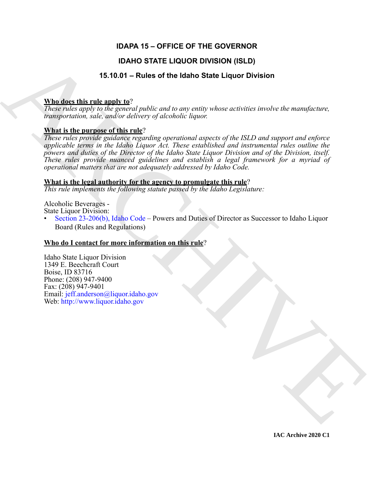### **IDAPA 15 – OFFICE OF THE GOVERNOR**

### **IDAHO STATE LIQUOR DIVISION (ISLD)**

### **15.10.01 – Rules of the Idaho State Liquor Division**

#### **Who does this rule apply to**?

*These rules apply to the general public and to any entity whose activities involve the manufacture, transportation, sale, and/or delivery of alcoholic liquor.*

#### **What is the purpose of this rule**?

**IDAHO STATE LIQUOR DIVISION (ISLD)**<br> **STATE LIQUOR DIVISION**<br>
These radio that the marginal path to the particle path of the state liquor contribute involve the numericity of the state of this radio deliver and the contr *These rules provide guidance regarding operational aspects of the ISLD and support and enforce applicable terms in the Idaho Liquor Act. These established and instrumental rules outline the powers and duties of the Director of the Idaho State Liquor Division and of the Division, itself. These rules provide nuanced guidelines and establish a legal framework for a myriad of operational matters that are not adequately addressed by Idaho Code.*

#### **What is the legal authority for the agency to promulgate this rule**?

*This rule implements the following statute passed by the Idaho Legislature:*

Alcoholic Beverages -

State Liquor Division:

• Section 23-206(b), Idaho Code – Powers and Duties of Director as Successor to Idaho Liquor Board (Rules and Regulations)

#### **Who do I contact for more information on this rule**?

Idaho State Liquor Division 1349 E. Beechcraft Court Boise, ID 83716 Phone: (208) 947-9400 Fax: (208) 947-9401 Email: jeff.anderson@liquor.idaho.gov Web: http://www.liquor.idaho.gov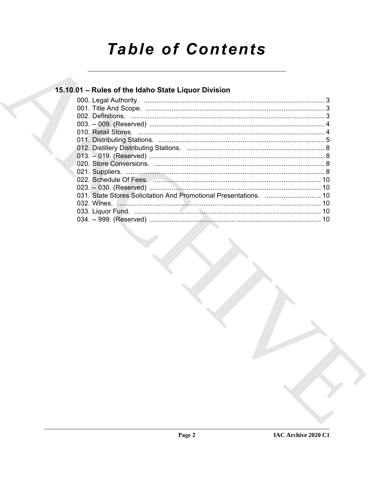# **Table of Contents**

## 15.10.01 - Rules of the Idaho State Liquor Division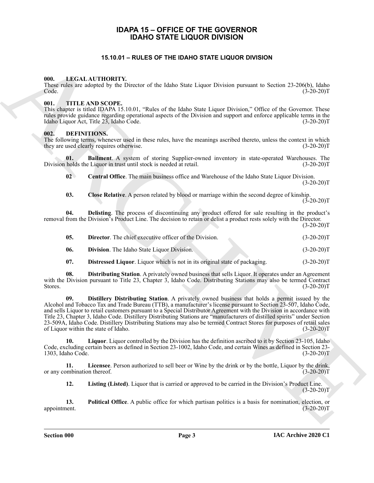#### **IDAPA 15 – OFFICE OF THE GOVERNOR IDAHO STATE LIQUOR DIVISION**

#### **15.10.01 – RULES OF THE IDAHO STATE LIQUOR DIVISION**

#### <span id="page-2-18"></span><span id="page-2-1"></span><span id="page-2-0"></span>**000. LEGAL AUTHORITY.**

These rules are adopted by the Director of the Idaho State Liquor Division pursuant to Section 23-206(b), Idaho  $Code.$  (3-20-20)T

#### <span id="page-2-19"></span><span id="page-2-2"></span>**001. TITLE AND SCOPE.**

This chapter is titled IDAPA 15.10.01, "Rules of the Idaho State Liquor Division," Office of the Governor. These rules provide guidance regarding operational aspects of the Division and support and enforce applicable terms in the Idaho Liquor Act, Title 23, Idaho Code. (3-20-20)T

#### <span id="page-2-4"></span><span id="page-2-3"></span>**002. DEFINITIONS.**

The following terms, whenever used in these rules, have the meanings ascribed thereto, unless the context in which they are used clearly requires otherwise. (3-20-20)T

**01. Bailment**. A system of storing Supplier-owned inventory in state-operated Warehouses. The holds the Liquor in trust until stock is needed at retail. (3-20-20)<sup>T</sup> Division holds the Liquor in trust until stock is needed at retail.

<span id="page-2-6"></span><span id="page-2-5"></span>**02 Central Office**. The main business office and Warehouse of the Idaho State Liquor Division.  $(3-20-20)T$ 

<span id="page-2-8"></span><span id="page-2-7"></span>**03. Close Relative**. A person related by blood or marriage within the second degree of kinship.  $(3-20-20)T$ 

**04. Delisting**. The process of discontinuing any product offered for sale resulting in the product's removal from the Division's Product Line. The decision to retain or delist a product rests solely with the Director.

 $(3-20-20)T$ 

<span id="page-2-13"></span><span id="page-2-9"></span>

| -05. | <b>Director.</b> The chief executive officer of the Division. | $(3-20-20)T$ |
|------|---------------------------------------------------------------|--------------|
| -06. | <b>Division.</b> The Idaho State Liquor Division.             | $(3-20-20)T$ |

<span id="page-2-12"></span><span id="page-2-11"></span><span id="page-2-10"></span>**07. Distressed Liquor**. Liquor which is not in its original state of packaging. (3-20-20)T

**08. Distributing Station**. A privately owned business that sells Liquor. It operates under an Agreement with the Division pursuant to Title 23, Chapter 3, Idaho Code. Distributing Stations may also be termed Contract Stores. (3-20-20)T

**15.0.0.1 – RULES OF THE IDAHO STATE LIQUOR DIVISION<br>
16.0.1 – REVITORITY, the biastar of the labar State Liquor Piccine, partnart to Nacion 24-3000 has the company<br>
16.1 – This Associate State Liquor Content in the compa 09. Distillery Distributing Station**. A privately owned business that holds a permit issued by the Alcohol and Tobacco Tax and Trade Bureau (TTB), a manufacturer's license pursuant to Section 23-507, Idaho Code, and sells Liquor to retail customers pursuant to a Special Distributor Agreement with the Division in accordance with Title 23, Chapter 3, Idaho Code. Distillery Distributing Stations are "manufacturers of distilled spirits" under Section 23-509A, Idaho Code. Distillery Distributing Stations may also be termed Contract Stores for purposes of retail sales of Liquor within the state of Idaho. (3-20-20)T

<span id="page-2-15"></span>**10. Liquor**. Liquor controlled by the Division has the definition ascribed to it by Section 23-105, Idaho Code, excluding certain beers as defined in Section 23-1002, Idaho Code, and certain Wines as defined in Section 23- 1303, Idaho Code. (3-20-20)T

**11.** Licensee. Person authorized to sell beer or Wine by the drink or by the bottle, Liquor by the drink, ombination thereof. (3-20-20)<sup>T</sup> or any combination thereof.

<span id="page-2-17"></span><span id="page-2-16"></span><span id="page-2-14"></span>**12. Listing (Listed)**. Liquor that is carried or approved to be carried in the Division's Product Line.  $(3-20-20)T$ 

**13. Political Office**. A public office for which partisan politics is a basis for nomination, election, or nent. (3-20-20) appointment.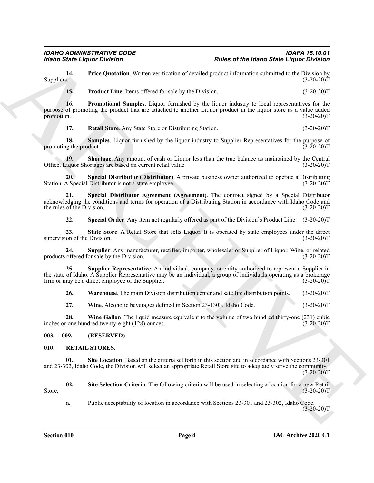**14.** Price Quotation. Written verification of detailed product information submitted to the Division by Suppliers. (3-20-20)  $\text{Suppliers.}$  (3-20-20)T

<span id="page-3-4"></span><span id="page-3-3"></span><span id="page-3-2"></span>**15.** Product Line. Items offered for sale by the Division. (3-20-20)T

For Sample Liquico Division "Rules of the Moho Sate Liquico Evidence Street (Sample Pointine when the street of the Moho Sate Liquid Evidence Street (Sample Pointine and The Content of the Universe Street (Sample Pointine **16. Promotional Samples**. Liquor furnished by the liquor industry to local representatives for the purpose of promoting the product that are attached to another Liquor product in the liquor store as a value added promotion. (3-20-20)T

<span id="page-3-7"></span><span id="page-3-6"></span><span id="page-3-5"></span>**17. Retail Store**. Any State Store or Distributing Station. (3-20-20)T

**18.** Samples. Liquor furnished by the liquor industry to Supplier Representatives for the purpose of ug the product. (3-20-20) promoting the product.

**19.** Shortage. Any amount of cash or Liquor less than the true balance as maintained by the Central iguor Shortages are based on current retail value.  $(3-20-20)$ Office. Liquor Shortages are based on current retail value.

<span id="page-3-8"></span>**20. Special Distributor (Distributor)**. A private business owner authorized to operate a Distributing Station. A Special Distributor is not a state employee. (3-20-20) (3-20-20)

**21. Special Distributor Agreement (Agreement)**. The contract signed by a Special Distributor acknowledging the conditions and terms for operation of a Distributing Station in accordance with Idaho Code and<br>(3-20-20)T the rules of the Division.

<span id="page-3-12"></span><span id="page-3-11"></span><span id="page-3-10"></span><span id="page-3-9"></span>**22. Special Order**. Any item not regularly offered as part of the Division's Product Line. (3-20-20)T

**23.** State Store. A Retail Store that sells Liquor. It is operated by state employees under the direct ion of the Division. (3-20-20)<sup>T</sup> supervision of the Division.

**24.** Supplier. Any manufacturer, rectifier, importer, wholesaler or Supplier of Liquor, Wine, or related offered for sale by the Division. (3-20-20) products offered for sale by the Division.

**25. Supplier Representative**. An individual, company, or entity authorized to represent a Supplier in the state of Idaho. A Supplier Representative may be an individual, a group of individuals operating as a brokerage firm or may be a direct employee of the Supplier. (3-20-20) firm or may be a direct employee of the Supplier.

<span id="page-3-14"></span><span id="page-3-13"></span>**26. Warehouse**. The main Division distribution center and satellite distribution points. (3-20-20)T

<span id="page-3-16"></span><span id="page-3-15"></span>**27.** Wine. Alcoholic beverages defined in Section 23-1303, Idaho Code. (3-20-20)T

**28.** Wine Gallon. The liquid measure equivalent to the volume of two hundred thirty-one (231) cubic inches or one hundred twenty-eight (128) ounces. (3-20-20)T

#### <span id="page-3-0"></span>**003. -- 009. (RESERVED)**

#### <span id="page-3-17"></span><span id="page-3-1"></span>**010. RETAIL STORES.**

<span id="page-3-18"></span>**01. Site Location**. Based on the criteria set forth in this section and in accordance with Sections 23-301 and 23-302, Idaho Code, the Division will select an appropriate Retail Store site to adequately serve the community.  $(3-20-20)T$ 

**02. Site Selection Criteria**. The following criteria will be used in selecting a location for a new Retail Store.  $(3-20-20)T$ 

<span id="page-3-19"></span>**a.** Public acceptability of location in accordance with Sections 23-301 and 23-302, Idaho Code.  $(3-20-20)T$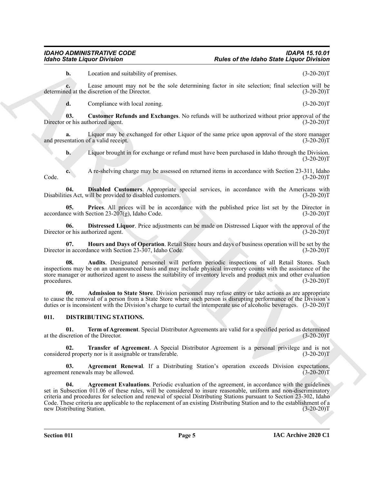#### *IDAHO ADMINISTRATIVE CODE IDAPA 15.10.01 Idaho State Liquor Division Rules of the Idaho State Liquor Division*

**b.** Location and suitability of premises. (3-20-20)T

**c.** Lease amount may not be the sole determining factor in site selection; final selection will be ed at the discretion of the Director. (3-20-20) determined at the discretion of the Director.

<span id="page-4-8"></span>**d.** Compliance with local zoning. (3-20-20)T

**03. Customer Refunds and Exchanges**. No refunds will be authorized without prior approval of the Director or his authorized agent. (3-20-20)T

**a.** Liquor may be exchanged for other Liquor of the same price upon approval of the store manager entation of a valid receipt.  $(3-20-20)T$ and presentation of a valid receipt.

<span id="page-4-9"></span>**b.** Liquor brought in for exchange or refund must have been purchased in Idaho through the Division.  $(3-20-20)T$ 

**c.** A re-shelving charge may be assessed on returned items in accordance with Section 23-311, Idaho Code. (3-20-20)T

**04. Disabled Customers**. Appropriate special services, in accordance with the Americans with Disabilities Act, will be provided to disabled customers. (3-20-20)T

<span id="page-4-12"></span>**05. Prices**. All prices will be in accordance with the published price list set by the Director in  $\alpha$  accordance with Section 23-207(g), Idaho Code. (3-20-20)T

<span id="page-4-10"></span>**06. Distressed Liquor**. Price adjustments can be made on Distressed Liquor with the approval of the Director or his authorized agent. (3-20-20)T

<span id="page-4-11"></span>**07. Hours and Days of Operation**. Retail Store hours and days of business operation will be set by the Director in accordance with Section 23-307, Idaho Code. (3-20-20)T

<span id="page-4-7"></span>**08. Audits**. Designated personnel will perform periodic inspections of all Retail Stores. Such inspections may be on an unannounced basis and may include physical inventory counts with the assistance of the store manager or authorized agent to assess the suitability of inventory levels and product mix and other evaluation procedures. (3-20-20)T procedures. (3-20-20)T

<span id="page-4-6"></span>**09. Admission to State Store**. Division personnel may refuse entry or take actions as are appropriate to cause the removal of a person from a State Store where such person is disrupting performance of the Division's duties or is inconsistent with the Division's charge to curtail the intemperate use of alcoholic beverages. (3-20-20)T

#### <span id="page-4-1"></span><span id="page-4-0"></span>**011. DISTRIBUTING STATIONS.**

<span id="page-4-4"></span>**01. Term of Agreement**. Special Distributor Agreements are valid for a specified period as determined cretion of the Director. (3-20-20) at the discretion of the Director.

<span id="page-4-5"></span>**02. Transfer of Agreement**. A Special Distributor Agreement is a personal privilege and is not considered property nor is it assignable or transferable. (3-20-20)T

<span id="page-4-3"></span><span id="page-4-2"></span>**03. Agreement Renewal**. If a Distributing Station's operation exceeds Division expectations, in renewals may be allowed. (3-20-20) agreement renewals may be allowed.

Globo State Liquico Division Company is particular and the basis of the basis description of the season of the season of the season of the season of the season of the season of the season of the season of the season of th **Agreement Evaluations**. Periodic evaluation of the agreement, in accordance with the guidelines set in Subsection 011.06 of these rules, will be considered to insure reasonable, uniform and non-discriminatory criteria and procedures for selection and renewal of special Distributing Stations pursuant to Section 23-302, Idaho Code. These criteria are applicable to the replacement of an existing Distributing Station and to the establishment of a<br>(3-20-20)T new Distributing Station.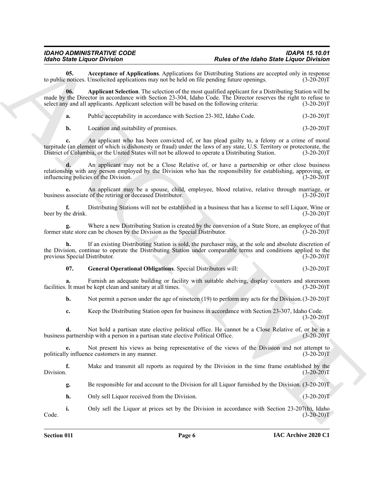<span id="page-5-0"></span>**05.** Acceptance of Applications. Applications for Distributing Stations are accepted only in response notices. Unsolicited applications may not be held on file pending future openings. (3-20-20) to public notices. Unsolicited applications may not be held on file pending future openings.

**Example Liquide Constraints** - The Research Profession Constraints and the best distribution of the Constraints and the Constraints and the Constraints and the Constraints and the Constraints and the Constraints and the **06. Applicant Selection**. The selection of the most qualified applicant for a Distributing Station will be made by the Director in accordance with Section 23-304, Idaho Code. The Director reserves the right to refuse to select any and all applicants. Applicant selection will be based on the following criteria:  $(3-20-20)T$ 

<span id="page-5-1"></span>**a.** Public acceptability in accordance with Section 23-302, Idaho Code. (3-20-20)T

**b.** Location and suitability of premises. (3-20-20)T

**c.** An applicant who has been convicted of, or has plead guilty to, a felony or a crime of moral turpitude (an element of which is dishonesty or fraud) under the laws of any state, U.S. Territory or protectorate, the District of Columbia, or the United States will not be allowed to operate a Distributing Station. (3-20-20)T

**d.** An applicant may not be a Close Relative of, or have a partnership or other close business relationship with any person employed by the Division who has the responsibility for establishing, approving, or influencing policies of the Division. (3-20-20)T

**e.** An applicant may be a spouse, child, employee, blood relative, relative through marriage, or business associate of the retiring or deceased Distributor. (3-20-20)T

**f.** Distributing Stations will not be established in a business that has a license to sell Liquor, Wine or beer by the drink. (3-20-20)T

**g.** Where a new Distributing Station is created by the conversion of a State Store, an employee of that former state store can be chosen by the Division as the Special Distributor. (3-20-20)T

**h.** If an existing Distributing Station is sold, the purchaser may, at the sole and absolute discretion of the Division, continue to operate the Distributing Station under comparable terms and conditions applied to the previous Special Distributor. (3-20-20)T

<span id="page-5-2"></span>**07. General Operational Obligations**. Special Distributors will: (3-20-20)T

**a.** Furnish an adequate building or facility with suitable shelving, display counters and storeroom facilities. It must be kept clean and sanitary at all times. (3-20-20)T

**b.** Not permit a person under the age of nineteen (19) to perform any acts for the Division.  $(3-20-20)$ T

**c.** Keep the Distributing Station open for business in accordance with Section 23-307, Idaho Code.  $(3-20-20)T$ 

**d.** Not hold a partisan state elective political office. He cannot be a Close Relative of, or be in a partnership with a person in a partisan state elective Political Office. (3-20-20) business partnership with a person in a partisan state elective Political Office.

**e.** Not present his views as being representative of the views of the Division and not attempt to politically influence customers in any manner. (3-20-20)T

**f.** Make and transmit all reports as required by the Division in the time frame established by the Division. (3-20-20)T Division. (3-20-20)T

**g.** Be responsible for and account to the Division for all Liquor furnished by the Division. (3-20-20)T

**h.** Only sell Liquor received from the Division. (3-20-20)T

**i.** Only sell the Liquor at prices set by the Division in accordance with Section 23-207(h), Idaho  $\text{Code.}$  (3-20-20)T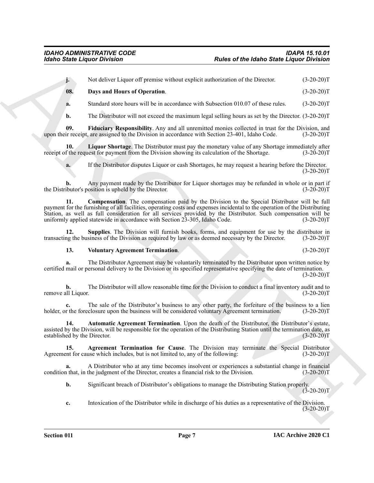**j.** Not deliver Liquor off premise without explicit authorization of the Director. (3-20-20)T

<span id="page-6-3"></span>**08. Days and Hours of Operation**. (3-20-20)T

**a.** Standard store hours will be in accordance with Subsection 010.07 of these rules. (3-20-20)T

**b.** The Distributor will not exceed the maximum legal selling hours as set by the Director. (3-20-20)T

**09.** Fiduciary Responsibility. Any and all unremitted monies collected in trust for the Division, and ir receipt, are assigned to the Division in accordance with Section 23-401, Idaho Code. (3-20-20)T upon their receipt, are assigned to the Division in accordance with Section 23-401, Idaho Code.

**10. Liquor Shortage**. The Distributor must pay the monetary value of any Shortage immediately after receipt of the request for payment from the Division showing its calculation of the Shortage. (3-20-20)T

<span id="page-6-2"></span>**a.** If the Distributor disputes Liquor or cash Shortages, he may request a hearing before the Director.  $(3-20-20)T$ 

**b.** Any payment made by the Distributor for Liquor shortages may be refunded in whole or in part if ibutor's position is upheld by the Director. (3-20-20) the Distributor's position is upheld by the Director.

For the Line of the Malen State Line of the Malen State Line of the Malen State Line of the Wallen State Line of the Wallen State Line of the Malen State Line of the Malen State Line of Operation 1.<br>
Note that the content **11. Compensation**. The compensation paid by the Division to the Special Distributor will be full payment for the furnishing of all facilities, operating costs and expenses incidental to the operation of the Distributing Station, as well as full consideration for all services provided by the Distributor. Such compensation will be uniformly applied statewide in accordance with Section 23-305, Idaho Code. (3-20-20)T

**12. Supplies**. The Division will furnish books, forms, and equipment for use by the distributor in ng the business of the Division as required by law or as deemed necessary by the Director. (3-20-20) transacting the business of the Division as required by law or as deemed necessary by the Director.

#### <span id="page-6-5"></span><span id="page-6-4"></span>**13. Voluntary Agreement Termination**. (3-20-20)T

**a.** The Distributor Agreement may be voluntarily terminated by the Distributor upon written notice by certified mail or personal delivery to the Division or its specified representative specifying the date of termination.  $(3-20-20)T$ 

**b.** The Distributor will allow reasonable time for the Division to conduct a final inventory audit and to all Liquor.  $(3-20-20)T$ remove all Liquor.

**c.** The sale of the Distributor's business to any other party, the forfeiture of the business to a lien r the foreclosure upon the business will be considered voluntary Agreement termination. (3-20-20) holder, or the foreclosure upon the business will be considered voluntary Agreement termination.

<span id="page-6-1"></span>**14. Automatic Agreement Termination**. Upon the death of the Distributor, the Distributor's estate, assisted by the Division, will be responsible for the operation of the Distributing Station until the termination date, as established by the Director. (3-20-20) established by the Director.

<span id="page-6-0"></span>**15. Agreement Termination for Cause**. The Division may terminate the Special Distributor Agreement for cause which includes, but is not limited to, any of the following: (3-20-20)T

**a.** A Distributor who at any time becomes insolvent or experiences a substantial change in financial 1 that, in the judgment of the Director, creates a financial risk to the Division. (3-20-20) condition that, in the judgment of the Director, creates a financial risk to the Division.

**b.** Significant breach of Distributor's obligations to manage the Distributing Station properly.  $(3-20-20)$ T

**c.** Intoxication of the Distributor while in discharge of his duties as a representative of the Division.  $(3-20-20)T$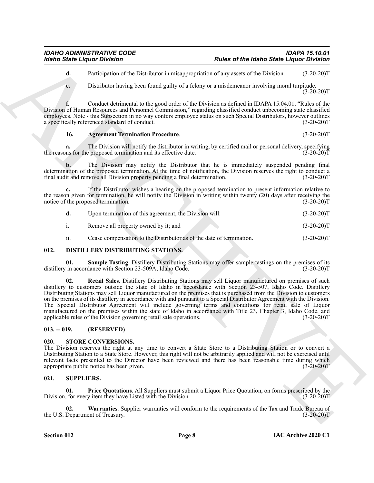**d.** Participation of the Distributor in misappropriation of any assets of the Division. (3-20-20)T

**e.** Distributor having been found guilty of a felony or a misdemeanor involving moral turpitude.  $(3-20-20)T$ 

**f.** Conduct detrimental to the good order of the Division as defined in IDAPA 15.04.01, "Rules of the Division of Human Resources and Personnel Commission," regarding classified conduct unbecoming state classified employees. Note - this Subsection in no way confers employee status on such Special Distributors, however outlines a specifically referenced standard of conduct. (3-20-20)T

#### <span id="page-7-7"></span>**16. Agreement Termination Procedure**. (3-20-20)T

**a.** The Division will notify the distributor in writing, by certified mail or personal delivery, specifying the reasons for the proposed termination and its effective date.  $(3-20-20)T$ 

**b.** The Division may notify the Distributor that he is immediately suspended pending final determination of the proposed termination. At the time of notification, the Division reserves the right to conduct a final audit and remove all Division property pending a final determination. (3-20-20)T

**c.** If the Distributor wishes a hearing on the proposed termination to present information relative to the reason given for termination, he will notify the Division in writing within twenty (20) days after receiving the notice of the proposed termination.  $(3-20-20)$ notice of the proposed termination.

|     | Upon termination of this agreement, the Division will:               | $(3-20-20)T$ |
|-----|----------------------------------------------------------------------|--------------|
|     | Remove all property owned by it; and                                 | $(3-20-20)T$ |
| ii. | Cease compensation to the Distributor as of the date of termination. | $(3-20-20)T$ |

#### <span id="page-7-4"></span><span id="page-7-0"></span>**012. DISTILLERY DISTRIBUTING STATIONS.**

<span id="page-7-6"></span><span id="page-7-5"></span>**01. Sample Tasting**. Distillery Distributing Stations may offer sample tastings on the premises of its distillery in accordance with Section 23-509A, Idaho Code. (3-20-20)T

Roles of the Mohel of State Liquidation<br>
Contact State Liquidation Contact Archives the main of the Mohel of State Liquidation (1998)<br>
The main term is the state of the Mohel of State Archives the United Contact Archives **02. Retail Sales**. Distillery Distributing Stations may sell Liquor manufactured on premises of such distillery to customers outside the state of Idaho in accordance with Section 23-507, Idaho Code. Distillery Distributing Stations may sell Liquor manufactured on the premises that is purchased from the Division to customers on the premises of its distillery in accordance with and pursuant to a Special Distributor Agreement with the Division. The Special Distributor Agreement will include governing terms and conditions for retail sale of Liquor manufactured on the premises within the state of Idaho in accordance with Title 23, Chapter 3, Idaho Code, and applicable rules of the Division governing retail sale operations. (3-20-20)T

#### <span id="page-7-1"></span>**013. -- 019. (RESERVED)**

#### <span id="page-7-8"></span><span id="page-7-2"></span>**020. STORE CONVERSIONS.**

The Division reserves the right at any time to convert a State Store to a Distributing Station or to convert a Distributing Station to a State Store. However, this right will not be arbitrarily applied and will not be exercised until relevant facts presented to the Director have been reviewed and there has been reasonable time during which appropriate public notice has been given. (3-20-20) appropriate public notice has been given.

#### <span id="page-7-9"></span><span id="page-7-3"></span>**021. SUPPLIERS.**

<span id="page-7-10"></span>**01. Price Quotations**. All Suppliers must submit a Liquor Price Quotation, on forms prescribed by the Division, for every item they have Listed with the Division. (3-20-20)T

<span id="page-7-11"></span>**02. Warranties**. Supplier warranties will conform to the requirements of the Tax and Trade Bureau of the U.S. Department of Treasury. (3-20-20)T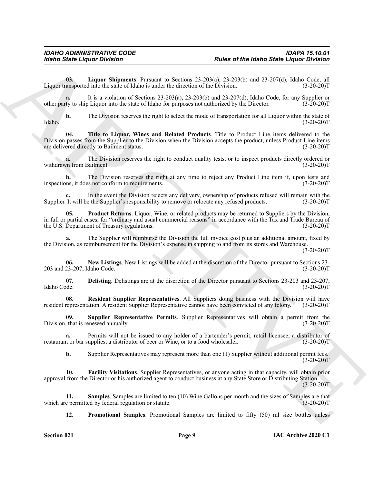<span id="page-8-2"></span>**03. Liquor Shipments**. Pursuant to Sections 23-203(a), 23-203(b) and 23-207(d), Idaho Code, all Liquor transported into the state of Idaho is under the direction of the Division. (3-20-20)T

**a.** It is a violation of Sections 23-203(a), 23-203(b) and 23-207(d), Idaho Code, for any Supplier or other party to ship Liquor into the state of Idaho for purposes not authorized by the Director. (3-20-20)T

<span id="page-8-9"></span>**b.** The Division reserves the right to select the mode of transportation for all Liquor within the state of  $Idabo.$  (3-20-20) $T$ 

Roberto Statie Léptice Division "Roberto Me Meleo Statie Léptico in College de Restor de Restor de Restor de Restor de Restor de Restor de Restor de Restor de Restor de Restor de Restor de Restor de Restor de Restor de Re **04. Title to Liquor, Wines and Related Products**. Title to Product Line items delivered to the Division passes from the Supplier to the Division when the Division accepts the product, unless Product Line items are delivered directly to Bailment status. (3-20-20) are delivered directly to Bailment status.

**a.** The Division reserves the right to conduct quality tests, or to inspect products directly ordered or  $\mu$  from Bailment. (3-20-20) withdrawn from Bailment.

**b.** The Division reserves the right at any time to reject any Product Line item if, upon tests and inspections, it does not conform to requirements. (3-20-20)T

In the event the Division rejects any delivery, ownership of products refused will remain with the ethe Supplier's responsibility to remove or relocate any refused products. (3-20-20)<sup>T</sup> Supplier. It will be the Supplier's responsibility to remove or relocate any refused products.

<span id="page-8-4"></span>**Product Returns**. Liquor, Wine, or related products may be returned to Suppliers by the Division, in full or partial cases, for "ordinary and usual commercial reasons" in accordance with the Tax and Trade Bureau of the U.S. Department of Treasury regulations. (3-20-20) the U.S. Department of Treasury regulations.

**a.** The Supplier will reimburse the Division the full invoice cost plus an additional amount, fixed by the Division, as reimbursement for the Division's expense in shipping to and from its stores and Warehouse.

 $(3-20-20)T$ 

<span id="page-8-3"></span>**06. New Listings**. New Listings will be added at the discretion of the Director pursuant to Sections 23- 203 and 23-207, Idaho Code. (3-20-20)T

<span id="page-8-0"></span>**07. Delisting**. Delistings are at the discretion of the Director pursuant to Sections 23-203 and 23-207, Idaho Code. (3-20-20)T

<span id="page-8-6"></span>**08. Resident Supplier Representatives**. All Suppliers doing business with the Division will have resident representation. A resident Supplier Representative cannot have been convicted of any felony. (3-20-20)T

<span id="page-8-8"></span>**09. Supplier Representative Permits**. Supplier Representatives will obtain a permit from the Division, that is renewed annually. (3-20-20)T

**a.** Permits will not be issued to any holder of a bartender's permit, retail licensee, a distributor of restaurant or bar supplies, a distributor of beer or Wine, or to a food wholesaler. (3-20-20)T

<span id="page-8-1"></span>**b.** Supplier Representatives may represent more than one (1) Supplier without additional permit fees.  $(3-20-20)T$ 

**10. Facility Visitations**. Supplier Representatives, or anyone acting in that capacity, will obtain prior approval from the Director or his authorized agent to conduct business at any State Store or Distributing Station.  $(3-20-20)T$ 

**11. Samples**. Samples are limited to ten (10) Wine Gallons per month and the sizes of Samples are that e permitted by federal regulation or statute. (3-20-20) which are permitted by federal regulation or statute.

<span id="page-8-7"></span><span id="page-8-5"></span>**12. Promotional Samples**. Promotional Samples are limited to fifty (50) ml size bottles unless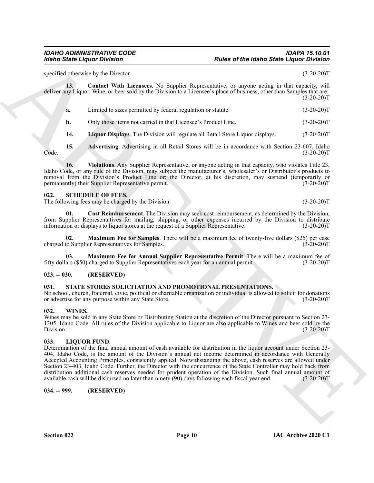#### *IDAHO ADMINISTRATIVE CODE IDAPA 15.10.01 Idaho State Liquor Division Rules of the Idaho State Liquor Division*

<span id="page-9-13"></span>specified otherwise by the Director. (3-20-20)T

**13. Contact With Licensees**. No Supplier Representative, or anyone acting in that capacity, will deliver any Liquor, Wine, or beer sold by the Division to a Licensee's place of business, other than Samples that are:  $(3-20-20)T$ 

**a.** Limited to sizes permitted by federal regulation or statute. (3-20-20)T

<span id="page-9-14"></span>**b.** Only those items not carried in that Licensee's Product Line. (3-20-20)T

<span id="page-9-15"></span><span id="page-9-12"></span>**14. Liquor Displays**. The Division will regulate all Retail Store Liquor displays. (3-20-20)T

**15. Advertising**. Advertising in all Retail Stores will be in accordance with Section 23-607, Idaho Code. (3-20-20)T

**16.** Violations. Any Supplier Representative, or anyone acting in that capacity, who violates Title 23, Idaho Code, or any rule of the Division, may subject the manufacturer's, wholesaler's or Distributor's products to removal from the Division's Product Line or; the Director, at his discretion, may suspend (temporarily or permanently) their Supplier Representative permit. (3-20-20)T

#### <span id="page-9-7"></span><span id="page-9-0"></span>**022. SCHEDULE OF FEES.**

The following fees may be charged by the Division. (3-20-20)T

<span id="page-9-8"></span>**01. Cost Reimbursement**. The Division may seek cost reimbursement, as determined by the Division, from Supplier Representatives for mailing, shipping, or other expenses incurred by the Division to distribute information or displays to liquor stores at the request of a Supplier Representative. (3-20-20)T

<span id="page-9-10"></span>**Maximum Fee for Samples**. There will be a maximum fee of twenty-five dollars (\$25) per case charged to Supplier Representatives for Samples. (3-20-20)T

<span id="page-9-9"></span>**03. Maximum Fee for Annual Supplier Representative Permit**. There will be a maximum fee of fifty dollars (\$50) charged to Supplier Representatives each year for an annual permit. (3-20-20)T

#### <span id="page-9-1"></span>**023. -- 030. (RESERVED)**

#### <span id="page-9-11"></span><span id="page-9-2"></span>**031. STATE STORES SOLICITATION AND PROMOTIONAL PRESENTATIONS.**

No school, church, fraternal, civic, political or charitable organization or individual is allowed to solicit for donations or advertise for any purpose within any State Store. (3-20-20)T

#### <span id="page-9-16"></span><span id="page-9-3"></span>**032. WINES.**

Wines may be sold in any State Store or Distributing Station at the discretion of the Director pursuant to Section 23- 1305, Idaho Code. All rules of the Division applicable to Liquor are also applicable to Wines and beer sold by the  $\text{Division.} \tag{3-20-20}$ 

#### <span id="page-9-6"></span><span id="page-9-4"></span>**033. LIQUOR FUND.**

**Each of State Liquide Division 1986**<br>
special when the Mathematics of the Mathematics of the Mathematics of the Mathematics of the Mathematics of the Mathematics of the State State of the Mathematics of the Mathematics Determination of the final annual amount of cash available for distribution in the liquor account under Section 23- 404, Idaho Code, is the amount of the Division's annual net income determined in accordance with Generally Accepted Accounting Principles, consistently applied. Notwithstanding the above, cash reserves are allowed under Section 23-403, Idaho Code. Further, the Director with the concurrence of the State Controller may hold back from distribution additional cash reserves needed for prudent operation of the Division. Such final annual amount of available cash will be disbursed no later than ninety (90) days following each fiscal year end. (3-20-20)T

<span id="page-9-5"></span>**034. -- 999. (RESERVED)**